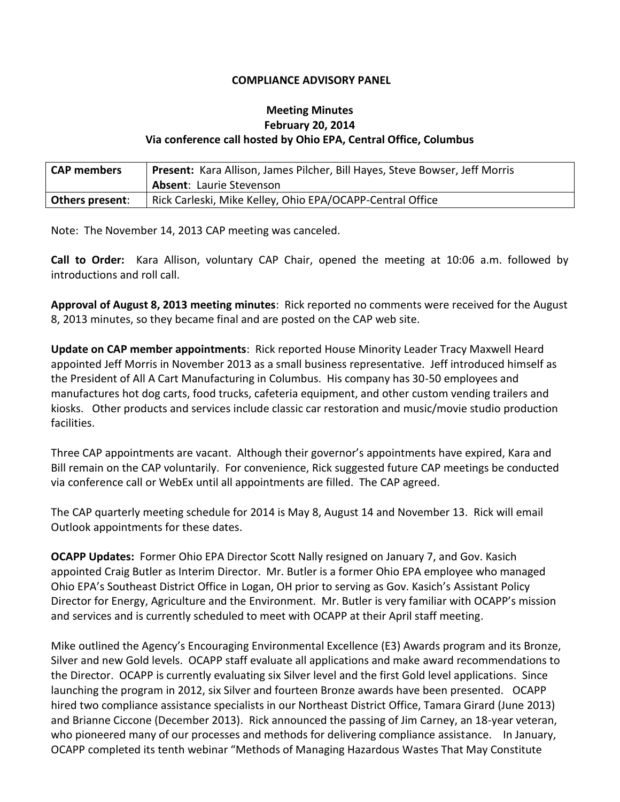## **COMPLIANCE ADVISORY PANEL**

## **Meeting Minutes February 20, 2014 Via conference call hosted by Ohio EPA, Central Office, Columbus**

| <b>CAP members</b>     | <b>Present:</b> Kara Allison, James Pilcher, Bill Hayes, Steve Bowser, Jeff Morris<br><b>Absent: Laurie Stevenson</b> |
|------------------------|-----------------------------------------------------------------------------------------------------------------------|
| <b>Others present:</b> | Rick Carleski, Mike Kelley, Ohio EPA/OCAPP-Central Office                                                             |

Note: The November 14, 2013 CAP meeting was canceled.

**Call to Order:** Kara Allison, voluntary CAP Chair, opened the meeting at 10:06 a.m. followed by introductions and roll call.

**Approval of August 8, 2013 meeting minutes**: Rick reported no comments were received for the August 8, 2013 minutes, so they became final and are posted on the CAP web site.

**Update on CAP member appointments**: Rick reported House Minority Leader Tracy Maxwell Heard appointed Jeff Morris in November 2013 as a small business representative. Jeff introduced himself as the President of All A Cart Manufacturing in Columbus. His company has 30-50 employees and manufactures hot dog carts, food trucks, cafeteria equipment, and other custom vending trailers and kiosks. Other products and services include classic car restoration and music/movie studio production facilities.

Three CAP appointments are vacant. Although their governor's appointments have expired, Kara and Bill remain on the CAP voluntarily. For convenience, Rick suggested future CAP meetings be conducted via conference call or WebEx until all appointments are filled. The CAP agreed.

The CAP quarterly meeting schedule for 2014 is May 8, August 14 and November 13. Rick will email Outlook appointments for these dates.

**OCAPP Updates:** Former Ohio EPA Director Scott Nally resigned on January 7, and Gov. Kasich appointed Craig Butler as Interim Director. Mr. Butler is a former Ohio EPA employee who managed Ohio EPA's Southeast District Office in Logan, OH prior to serving as Gov. Kasich's Assistant Policy Director for Energy, Agriculture and the Environment. Mr. Butler is very familiar with OCAPP's mission and services and is currently scheduled to meet with OCAPP at their April staff meeting.

Mike outlined the Agency's Encouraging Environmental Excellence (E3) Awards program and its Bronze, Silver and new Gold levels. OCAPP staff evaluate all applications and make award recommendations to the Director. OCAPP is currently evaluating six Silver level and the first Gold level applications. Since launching the program in 2012, six Silver and fourteen Bronze awards have been presented. OCAPP hired two compliance assistance specialists in our Northeast District Office, Tamara Girard (June 2013) and Brianne Ciccone (December 2013). Rick announced the passing of Jim Carney, an 18-year veteran, who pioneered many of our processes and methods for delivering compliance assistance. In January, OCAPP completed its tenth webinar "Methods of Managing Hazardous Wastes That May Constitute